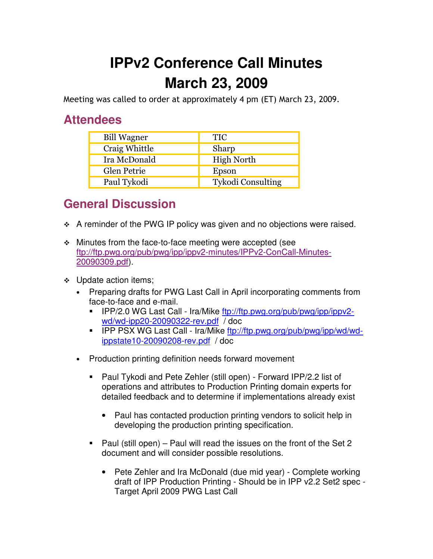## **IPPv2 Conference Call Minutes March 23, 2009**

Meeting was called to order at approximately 4 pm (ET) March 23, 2009.

## **Attendees**

| <b>Bill Wagner</b> | <b>TIC</b>               |
|--------------------|--------------------------|
| Craig Whittle      | Sharp                    |
| Ira McDonald       | <b>High North</b>        |
| <b>Glen Petrie</b> | Epson                    |
| Paul Tykodi        | <b>Tykodi Consulting</b> |

## **General Discussion**

- A reminder of the PWG IP policy was given and no objections were raised.
- Minutes from the face-to-face meeting were accepted (see ftp://ftp.pwg.org/pub/pwg/ipp/ippv2-minutes/IPPv2-ConCall-Minutes-20090309.pdf).
- ❖ Update action items;
	- Preparing drafts for PWG Last Call in April incorporating comments from face-to-face and e-mail.
		- - IPP/2.0 WG Last Call - Ira/Mike ftp://ftp.pwg.org/pub/pwg/ipp/ippv2 wd/wd-ipp20-20090322-rev.pdf / doc
		- IPP PSX WG Last Call Ira/Mike ftp://ftp.pwg.org/pub/pwg/ipp/wd/wdippstate10-20090208-rev.pdf / doc
	- Production printing definition needs forward movement
		- - Paul Tykodi and Pete Zehler (still open) - Forward IPP/2.2 list of operations and attributes to Production Printing domain experts for detailed feedback and to determine if implementations already exist
			- Paul has contacted production printing vendors to solicit help in developing the production printing specification.
		- Paul (still open) Paul will read the issues on the front of the Set 2 document and will consider possible resolutions.
			- Pete Zehler and Ira McDonald (due mid year) Complete working draft of IPP Production Printing - Should be in IPP v2.2 Set2 spec - Target April 2009 PWG Last Call